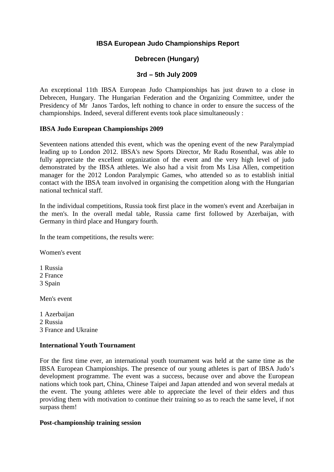# **IBSA European Judo Championships Report**

## **Debrecen (Hungary)**

## **3rd – 5th July 2009**

An exceptional 11th IBSA European Judo Championships has just drawn to a close in Debrecen, Hungary. The Hungarian Federation and the Organizing Committee, under the Presidency of Mr Janos Tardos, left nothing to chance in order to ensure the success of the championships. Indeed, several different events took place simultaneously :

## **IBSA Judo European Championships 2009**

Seventeen nations attended this event, which was the opening event of the new Paralympiad leading up to London 2012. IBSA's new Sports Director, Mr Radu Rosenthal, was able to fully appreciate the excellent organization of the event and the very high level of judo demonstrated by the IBSA athletes. We also had a visit from Ms Lisa Allen, competition manager for the 2012 London Paralympic Games, who attended so as to establish initial contact with the IBSA team involved in organising the competition along with the Hungarian national technical staff.

In the individual competitions, Russia took first place in the women's event and Azerbaijan in the men's. In the overall medal table, Russia came first followed by Azerbaijan, with Germany in third place and Hungary fourth.

In the team competitions, the results were:

Women's event

1 Russia

2 France

3 Spain

Men's event

1 Azerbaijan 2 Russia 3 France and Ukraine

## **International Youth Tournament**

For the first time ever, an international youth tournament was held at the same time as the IBSA European Championships. The presence of our young athletes is part of IBSA Judo's development programme. The event was a success, because over and above the European nations which took part, China, Chinese Taipei and Japan attended and won several medals at the event. The young athletes were able to appreciate the level of their elders and thus providing them with motivation to continue their training so as to reach the same level, if not surpass them!

## **Post-championship training session**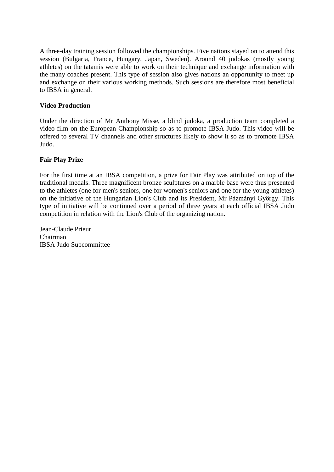A three-day training session followed the championships. Five nations stayed on to attend this session (Bulgaria, France, Hungary, Japan, Sweden). Around 40 judokas (mostly young athletes) on the tatamis were able to work on their technique and exchange information with the many coaches present. This type of session also gives nations an opportunity to meet up and exchange on their various working methods. Such sessions are therefore most beneficial to IBSA in general.

## **Video Production**

Under the direction of Mr Anthony Misse, a blind judoka, a production team completed a video film on the European Championship so as to promote IBSA Judo. This video will be offered to several TV channels and other structures likely to show it so as to promote IBSA Judo.

## **Fair Play Prize**

For the first time at an IBSA competition, a prize for Fair Play was attributed on top of the traditional medals. Three magnificent bronze sculptures on a marble base were thus presented to the athletes (one for men's seniors, one for women's seniors and one for the young athletes) on the initiative of the Hungarian Lion's Club and its President, Mr Pàzmànyi Gyôrgy. This type of initiative will be continued over a period of three years at each official IBSA Judo competition in relation with the Lion's Club of the organizing nation.

Jean-Claude Prieur Chairman IBSA Judo Subcommittee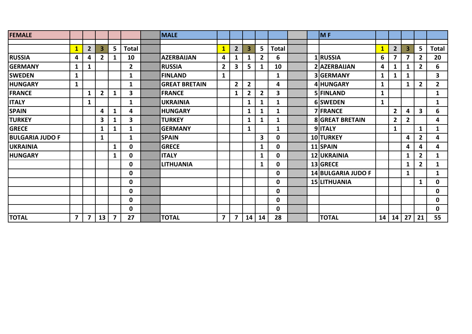| <b>FEMALE</b>          |                |                |                |                |                | MALE                 |                |                |                |                |              |  | MF                     |              |                |                |                |                |
|------------------------|----------------|----------------|----------------|----------------|----------------|----------------------|----------------|----------------|----------------|----------------|--------------|--|------------------------|--------------|----------------|----------------|----------------|----------------|
|                        |                |                | 3              |                |                |                      |                |                | 3              | 5 <sup>1</sup> |              |  |                        |              |                |                | 5 <sup>1</sup> |                |
|                        | $\mathbf{1}$   | 2              |                | 5 <sup>5</sup> | <b>Total</b>   |                      | $\mathbf{1}$   | 2              |                |                | <b>Total</b> |  |                        | $\mathbf{1}$ | $\overline{2}$ | 3              |                | <b>Total</b>   |
| <b>RUSSIA</b>          | 4              | 4              | $\overline{2}$ | 1              | 10             | <b>AZERBAIJAN</b>    | 4              | 1              | 1              | $\mathbf{2}$   | 6            |  | 1 RUSSIA               | 6            | 7              | 7              | $\overline{2}$ | 20             |
| <b>GERMANY</b>         | 1              | 1              |                |                | $\overline{2}$ | <b>RUSSIA</b>        | $\overline{2}$ | 3              | 5              | 1              | 10           |  | 2 AZERBAIJAN           | 4            | 1              |                | $\overline{2}$ | 6              |
| <b>SWEDEN</b>          | $\mathbf{1}$   |                |                |                | $\mathbf{1}$   | <b>FINLAND</b>       | $\mathbf{1}$   |                |                |                | $\mathbf{1}$ |  | 3 GERMANY              | $\mathbf{1}$ | $\mathbf{1}$   | 1              |                | 3              |
| <b>HUNGARY</b>         | $\mathbf{1}$   |                |                |                | 1              | <b>GREAT BRETAIN</b> |                | $\overline{2}$ | $\overline{2}$ |                | 4            |  | 4 HUNGARY              | $\mathbf{1}$ |                | 1              | $\mathbf{2}$   | 2 <sup>1</sup> |
| <b>FRANCE</b>          |                | $\mathbf{1}$   | $\overline{2}$ | 1              | 3              | <b>FRANCE</b>        |                | $\mathbf{1}$   | $\overline{2}$ | $\overline{2}$ | 3            |  | 5 FINLAND              | $\mathbf{1}$ |                |                |                | 1              |
| <b>ITALY</b>           |                | 1              |                |                | 1              | <b>UKRAINIA</b>      |                |                | 1              | 1              | 1            |  | 6 SWEDEN               | $\mathbf{1}$ |                |                |                | 1              |
| <b>SPAIN</b>           |                |                | 4              | 1              | 4              | <b>HUNGARY</b>       |                |                | 1              | $\mathbf{1}$   | $\mathbf{1}$ |  | 7 FRANCE               |              | $\overline{2}$ | 4              | $\mathbf{3}$   | 6              |
| <b>TURKEY</b>          |                |                | 3              |                | 3              | <b>TURKEY</b>        |                |                | 1              | 1              | 1            |  | <b>8 GREAT BRETAIN</b> |              | $\overline{2}$ | $\mathbf{2}$   |                | 4              |
| <b>GRECE</b>           |                |                | 1              | 1              | 1              | <b>GERMANY</b>       |                |                | 1              |                | $\mathbf{1}$ |  | 9 ITALY                |              | 1              |                | $\mathbf{1}$   | 1              |
| <b>BULGARIA JUDO F</b> |                |                | 1              |                | 1              | <b>SPAIN</b>         |                |                |                | 3              | $\mathbf 0$  |  | 10 TURKEY              |              |                | 4              | $\mathbf{2}$   | 4              |
| <b>UKRAINIA</b>        |                |                |                | 1              | $\mathbf 0$    | <b>GRECE</b>         |                |                |                | $\mathbf{1}$   | $\mathbf 0$  |  | 11 SPAIN               |              |                | 4              | 4              | 4              |
| <b>HUNGARY</b>         |                |                |                | 1              | $\mathbf 0$    | <b>ITALY</b>         |                |                |                | 1              | $\mathbf 0$  |  | 12 UKRAINIA            |              |                | 1              | $\mathbf{2}$   | 1              |
|                        |                |                |                |                | $\mathbf 0$    | <b>LITHUANIA</b>     |                |                |                | $\mathbf{1}$   | $\mathbf 0$  |  | 13 GRECE               |              |                | 1              | $\mathbf{2}$   | 1              |
|                        |                |                |                |                | $\mathbf 0$    |                      |                |                |                |                | 0            |  | 14 BULGARIA JUDO F     |              |                | 1              |                | 1              |
|                        |                |                |                |                | $\mathbf 0$    |                      |                |                |                |                | $\mathbf 0$  |  | 15 LITHUANIA           |              |                |                | $\mathbf{1}$   | $\mathbf 0$    |
|                        |                |                |                |                | $\mathbf 0$    |                      |                |                |                |                | $\mathbf 0$  |  |                        |              |                |                |                | $\mathbf 0$    |
|                        |                |                |                |                | $\mathbf 0$    |                      |                |                |                |                | $\mathbf 0$  |  |                        |              |                |                |                | $\mathbf 0$    |
|                        |                |                |                |                | $\mathbf 0$    |                      |                |                |                |                | $\mathbf 0$  |  |                        |              |                |                |                | $\mathbf 0$    |
| <b>TOTAL</b>           | $\overline{7}$ | $\overline{7}$ | 13             | $\overline{7}$ | 27             | <b>TOTAL</b>         | $\overline{7}$ | $\overline{7}$ | 14             | 14             | 28           |  | <b>TOTAL</b>           | 14           |                | $14$   27   21 |                | 55             |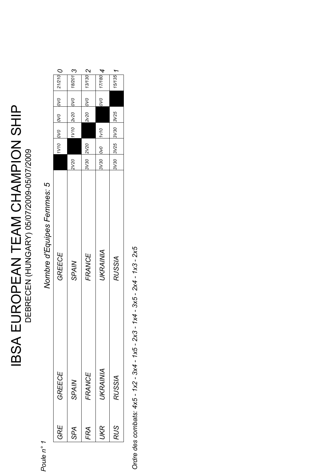# **IBSA EUROPEAN TEAM CHAMPION SHIP<br>DEBRECEN (HUNGARY) 05/07/2009-05/07/2009** IBSA EUROPEAN TEAM CHAMPION SHIP DEBRECEN (HUNGARY) 05/07/2009-05/07/2009

Poule n° 1 *Poule n° 1*

Nombre d'Equipes Femmes: 5 *Nombre d'Equipes Femmes: 5*

|                       | $ 18/201 $ 3  | 2 0.0110  | 1/17/108               | $15/135$ 1          |
|-----------------------|---------------|-----------|------------------------|---------------------|
| $O$ $ 0.212 $ $O$ $O$ | 010 02120 011 | 2v20 0V0  | $\infty$               |                     |
|                       |               |           |                        |                     |
| ono pri               |               |           |                        |                     |
|                       |               | 3V30 2V20 | $0/10$ 0/0 0/0 05/2    | 3V30 3V25 3V30 3V25 |
|                       | <b>2V20</b>   |           |                        |                     |
| GREECE                | <b>SPAIN</b>  | FRANCE    | UKRAINIA               | RUSSIA              |
| GREECE                | SPAIN         | FRANCE    | <b><i>JKRAINIA</i></b> | <b>RUSSIA</b>       |
| GRE                   | <b>RAS</b>    | FRA       | <b>UKR</b>             | <b>RUS</b>          |

Ordre des combats: 4x5 - 1x2 - 3x4 - 1x5 - 2x3 - 1x4 - 3x5 - 2x4 - 1x3 - 2x5  *Ordre des combats: 4x5 - 1x2 - 3x4 - 1x5 - 2x3 - 1x4 - 3x5 - 2x4 - 1x3 - 2x5*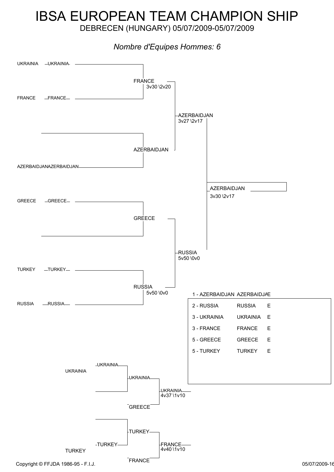# IBSA EUROPEAN TEAM CHAMPION SHIP

DEBRECEN (HUNGARY) 05/07/2009-05/07/2009

# *Nombre d'Equipes Hommes: 6*

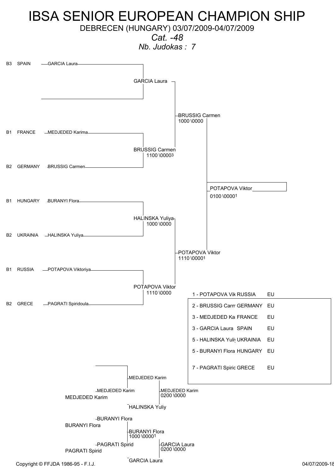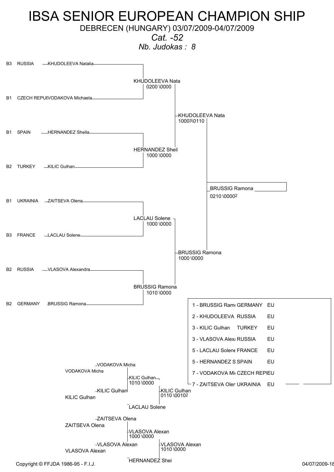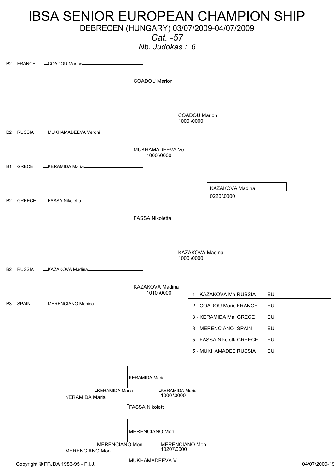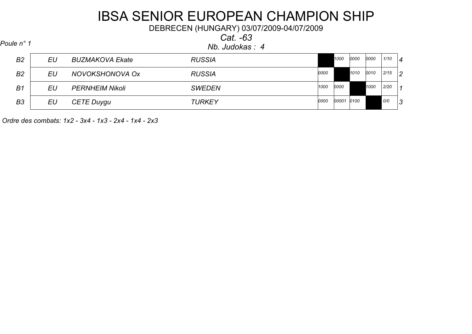DEBRECEN (HUNGARY) 03/07/2009-04/07/2009

*Cat. -63*

| Poule n° 1 |  |  |  |
|------------|--|--|--|
|------------|--|--|--|

*Nb. Judokas : 4 Poule n° 1*

| B <sub>2</sub> | EU | <b>BUZMAKOVA Ekate</b> | <b>RUSSIA</b> |      | 1000  | 0000 | 0000 | 1/10 | $\vert 4$ |
|----------------|----|------------------------|---------------|------|-------|------|------|------|-----------|
| B <sub>2</sub> | EU | NOVOKSHONOVA OX        | <b>RUSSIA</b> | 0000 |       | 1010 | 0010 | 2/15 | 2         |
| B <sub>1</sub> | EU | <b>PERNHEIM Nikoli</b> | <b>SWEDEN</b> | 1000 | 0000  |      | 1000 | 2/20 | -1        |
| B <sub>3</sub> | EU | <b>CETE Duygu</b>      | <b>TURKEY</b> | 0000 | 00001 | 0100 |      | O/O  | 3         |

 *Ordre des combats: 1x2 - 3x4 - 1x3 - 2x4 - 1x4 - 2x3*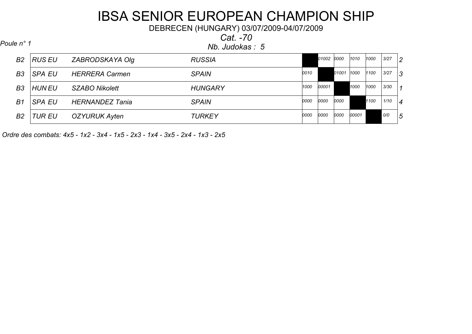DEBRECEN (HUNGARY) 03/07/2009-04/07/2009

*Cat. -70*

*Nb. Judokas : 5 Poule n° 1*

| <b>B2</b>      | RUS EU        | ZABRODSKAYA Olg        | <b>RUSSIA</b>  |      | 01002 | 0000  | 1010  | 1000 | 3/27 | 2              |
|----------------|---------------|------------------------|----------------|------|-------|-------|-------|------|------|----------------|
| B <sub>3</sub> | <b>SPA EU</b> | <b>HERRERA Carmen</b>  | <b>SPAIN</b>   | 0010 |       | 01001 | 1000  | 1100 | 3/27 | 3              |
| B <sub>3</sub> | HUN EU        | SZABO Nikolett         | <b>HUNGARY</b> | 1000 | 00001 |       | 1000  | 1000 | 3/30 | $\vert$ 1      |
| B1             | <b>SPA EU</b> | <b>HERNANDEZ Tania</b> | <b>SPAIN</b>   | 0000 | 0000  | 0000  |       | 1100 | 1/10 | $\overline{4}$ |
| B <sub>2</sub> | <b>TUR EU</b> | OZYURUK Ayten          | <b>TURKEY</b>  | 0000 | 0000  | 0000  | 00001 |      | O/O  | 5              |
|                |               |                        |                |      |       |       |       |      |      |                |

 *Ordre des combats: 4x5 - 1x2 - 3x4 - 1x5 - 2x3 - 1x4 - 3x5 - 2x4 - 1x3 - 2x5*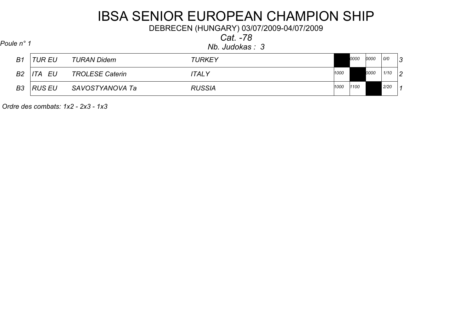DEBRECEN (HUNGARY) 03/07/2009-04/07/2009

*Cat. -78*

*Nb. Judokas : 3 Poule n° 1*

| B <sub>1</sub> | TUR EU | <b>TURAN Didem</b>     | <b>TURKEY</b> |      | 0000 | 0000 | 0/0  | <b>م</b> ا |
|----------------|--------|------------------------|---------------|------|------|------|------|------------|
| <b>B2</b>      | EU     | <b>TROLESE Caterin</b> | 'TALY         | 1000 |      | 0000 | 1/10 | ר ו        |
| B3             | RUS EU | SAVOSTYANOVA Ta        | <b>RUSSIA</b> | 1000 | 1100 |      | 2/20 |            |

 *Ordre des combats: 1x2 - 2x3 - 1x3*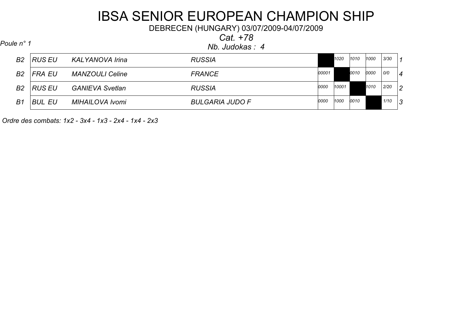DEBRECEN (HUNGARY) 03/07/2009-04/07/2009

*Cat. +78*

*Nb. Judokas : 4 Poule n° 1*

| B <sub>2</sub> | IRUS EU       | <b>KALYANOVA Irina</b> | <b>RUSSIA</b>          |       | 1020  | 1010 | 1000 | 3/30 | $\overline{1}$ |
|----------------|---------------|------------------------|------------------------|-------|-------|------|------|------|----------------|
| <b>B2</b>      | FRA EU        | <b>MANZOULI Celine</b> | <b>FRANCE</b>          | 00001 |       | 0010 | 0000 | O/O  | 4              |
| B <sub>2</sub> | RUS EU        | <b>GANIEVA Svetlan</b> | <b>RUSSIA</b>          | 0000  | 10001 |      | 1010 | 2/20 | $ 2\rangle$    |
| B1             | <b>BUL EU</b> | <b>MIHAILOVA Ivomi</b> | <b>BULGARIA JUDO F</b> | 0000  | 1000  | 0010 |      | 1/10 | 3              |

 *Ordre des combats: 1x2 - 3x4 - 1x3 - 2x4 - 1x4 - 2x3*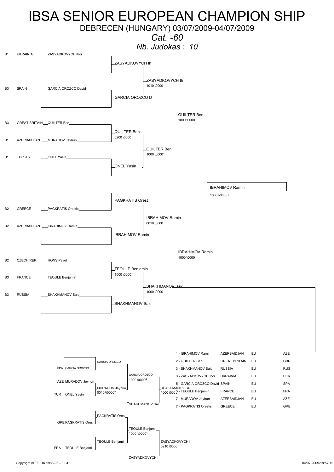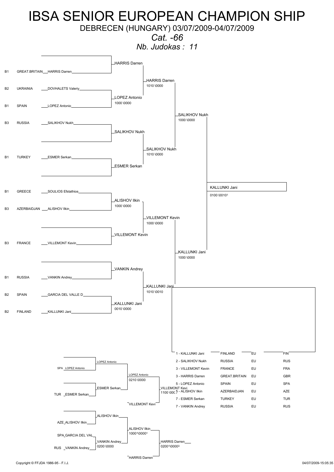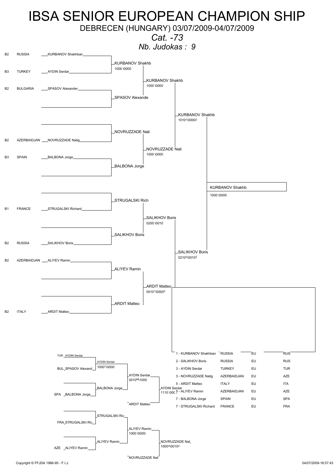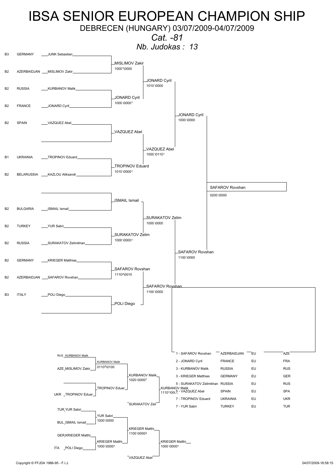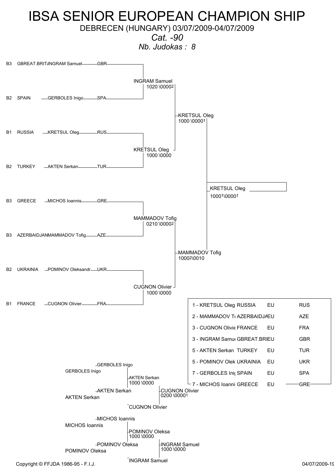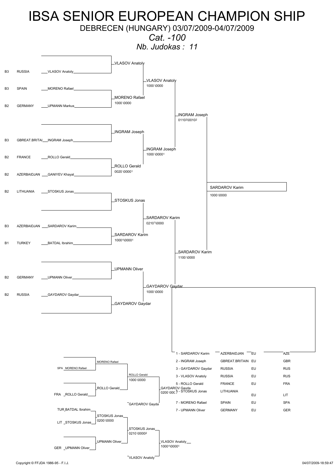